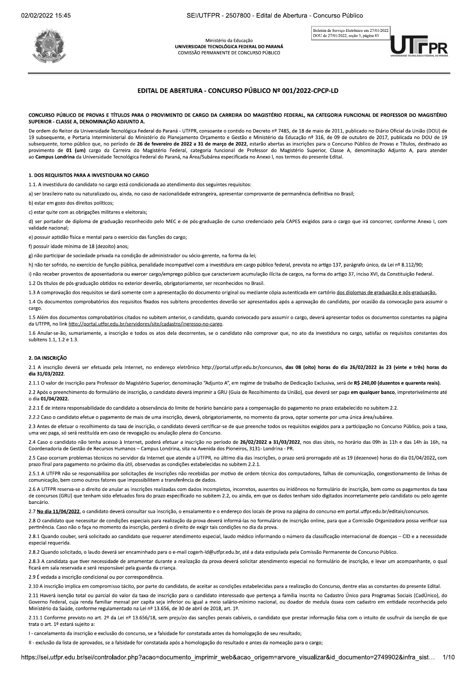Ministério da Educação UNIVERSIDADE TECNOLÓGICA FEDERAL DO PARANÁ COMISSÃO PERMANENTE DE CONCURSO PÚBLICO



# EDITAL DE ABERTURA - CONCURSO PÚBLICO Nº 001/2022-CPCP-LD

### CONCURSO PÚBLICO DE PROVAS E TÍTULOS PARA O PROVIMENTO DE CARGO DA CARREIRA DO MAGISTÉRIO FEDERAL. NA CATEGORIA FUNCIONAL DE PROFESSOR DO MAGISTÉRIO SUPERIOR - CLASSE A. DENOMINAÇÃO ADJUNTO A.

De ordem do Reitor da Universidade Tecnológica Federal do Paraná - UTFPR, consoante o contido no Decreto nº 7485, de 18 de maio de 2011, publicado no Diário Oficial da União (DOU) de 19 subsequente, e Portaria Interministerial do Ministério do Planejamento Orcamento e Gestão e Ministério da Educação nº 316, de 09 de outubro de 2017, publicada no DOU de 19 subsequente, torno público que, no período de 26 de fevereiro de 2022 a 31 de março de 2022, estarão abertas as inscrições para o Concurso Público de Provas e Títulos, destinado ao provimento de 01 (um) cargo da Carreira do Magistério Federal, categoria funcional de Professor do Magistério Superior, Classe A, denominação Adjunto A, para atender ao Campus Londrina da Universidade Tecnológica Federal do Paraná, na Área/Subárea especificada no Anexo I, nos termos do presente Edital.

### 1. DOS REQUISITOS PARA A INVESTIDURA NO CARGO

1.1. A investidura do candidato no cargo está condicionada ao atendimento dos seguintes requisitos:

a) ser brasileiro nato ou naturalizado ou, ainda, no caso de nacionalidade estrangeira, apresentar comprovante de permanência definitiva no Brasil:

b) estar em gozo dos direitos políticos;

c) estar quite com as obrigações militares e eleitorais;

d) ser portador de diploma de graduação reconhecido pelo MEC e de pós-graduação de curso credenciado pela CAPES exigidos para o cargo que irá concorrer, conforme Anexo I, com validade nacional:

e) possuir aptidão física e mental para o exercício das funções do cargo;

f) possuir idade mínima de 18 (dezoito) anos;

g) não participar de sociedade privada na condição de administrador ou sócio-gerente, na forma da lei;

h) não ter sofrido, no exercício de função pública, penalidade incompatível com a investidura em cargo público federal, prevista no artigo 137, parágrafo único, da Lei nº 8.112/90;

i) não receber proventos de aposentadoria ou exercer cargo/emprego público que caracterizem acumulação ilícita de cargos, na forma do artigo 37, inciso XVI, da Constituição Federal.

1.2 Os títulos de pós-graduação obtidos no exterior deverão, obrigatoriamente, ser reconhecidos no Brasil.

1.3 A comprovação dos requisitos se dará somente com a apresentação do documento original ou mediante cópia autenticada em cartório dos diplomas de graduação e pós-graduação

1.4 Os documentos comprobatórios dos requisitos fixados nos subitens precedentes deverão ser apresentados após a aprovação do candidato, por ocasião da convocação para assumir o cargo

1.5 Além dos documentos comprobatórios citados no subitem anterior, o candidato, quando convocado para assumir o cargo, deverá apresentar todos os documentos constantes na página da UTFPR, no link http://portal.utfpr.edu.br/servidores/site/cadastro/ingresso-no-cargo.

1.6 Anular-se-ão, sumariamente, a inscrição e todos os atos dela decorrentes, se o candidato não comprovar que, no ato da investidura no cargo, satisfaz os requisitos constantes dos subitens  $1.1$ ,  $1.2$  e  $1.3$ .

# 2. DA INSCRICÃO

2.1 A inscrição deverá ser efetuada pela Internet, no endereço eletrônico http://portal.utfpr.edu.br/concursos, das 08 (oito) horas do dia 26/02/2022 às 23 (vinte e três) horas do dia 31/03/2022.

2.1.1 O valor de inscrição para Professor do Magistério Superior, denominação "Adjunto A", em regime de trabalho de Dedicação Exclusiva, será de R\$ 240,00 (duzentos e quarenta reais).

2.2 Após o preenchimento do formulário de inscrição, o candidato deverá imprimir a GRU (Guia de Recolhimento da União), que deverá ser paga em qualquer banco, impreterivelmente até o dia 01/04/2022.

2.2.1 É de inteira responsabilidade do candidato a observância do limite de horário bancário para a compensação do pagamento no prazo estabelecido no subitem 2.2.

2.2.2 Caso o candidato efetue o pagamento de mais de uma inscrição, deverá, obrigatoriamente, no momento da prova, optar somente por uma única área/subárea.

2.3 Antes de efetuar o recolhimento da taxa de inscrição, o candidato deverá certificar-se de que preenche todos os requisitos exigidos para a participação no Concurso Público, pois a taxa, uma vez paga, só será restituída em caso de revogação ou anulação plena do Concurso.

2.4 Caso o candidato não tenha acesso à Internet, poderá efetuar a inscrição no período de 26/02/2022 a 31/03/2022, nos dias úteis, no horário das 09h às 11h e das 14h às 16h, na Coordenadoria de Gestão de Recursos Humanos - Campus Londrina, sita na Avenida dos Pioneiros, 3131- Londrina - PR.

2.5 Caso ocorram problemas técnicos no servidor da Internet que atende a UTFPR, no último dia das inscrições, o prazo será prorrogado até as 19 (dezenove) horas do dia 01/04/2022, com prazo final para pagamento no próximo dia útil, observadas as condições estabelecidas no subitem 2.2.1.

2.5.1 A UTFPR não se responsabiliza por solicitações de inscrições não recebidas por motivo de ordem técnica dos computadores, falhas de comunicação, congestionamento de linhas de comunicação, bem como outros fatores que impossibilitem a transferência de dados.

2.6 A UTFPR reserva-se o direito de anular as inscrições realizadas com dados incompletos, incorretos, ausentes ou inidôneos no formulário de inscrição, bem como os pagamentos da taxa de concursos (GRU) que tenham sido efetuados fora do prazo especificado no subitem 2.2, ou ainda, em que os dados tenham sido digitados incorretamente pelo candidato ou pelo agente bancário

2.7 No dia 11/04/2022, o candidato deverá consultar sua inscrição, o ensalamento e o endereço dos locais de prova na página do concurso em portal.utfpr.edu.br/editais/concursos.

2.8 O candidato que necessitar de condições especiais para realização da prova deverá informá-las no formulário de inscrição online, para que a Comissão Organizadora possa verificar sua pertinência. Caso não o faça no momento da inscrição, perderá o direito de exigir tais condições no dia da prova.

2.8.1 Quando couber, será solicitado ao candidato que requerer atendimento especial, laudo médico informando o número da classificação internacional de doenças - CID e a necessidade especial requerida.

2.8.2 Quando solicitado, o laudo deverá ser encaminhado para o e-mail cogerh-Id@utfpr.edu.br, até a data estipulada pela Comissão Permanente de Concurso Público.

2.8.3 A candidata que tiver necessidade de amamentar durante a realização da prova deverá solicitar atendimento especial no formulário de inscrição, e levar um acompanhante, o qual ficará em sala reservada e será responsável pela guarda da criança

2.9 É vedada a inscrição condicional ou por correspondência

2.10 A inscrição implica em compromisso tácito, por parte do candidato, de aceitar as condições estabelecidas para a realização do Concurso, dentre elas as constantes do presente Edital.

2.11 Haverá isenção total ou parcial do valor da taxa de inscrição para o candidato interessado que pertenca a família inscrita no Cadastro Único para Programas Sociais (CadÚnico), do Governo Federal, cuja renda familiar mensal per capita seja inferior ou igual a meio salário-mínimo nacional, ou doador de medula óssea com cadastro em entidade reconhecida pelo Ministério da Saúde, conforme regulamentado na Lei nº 13.656, de 30 de abril de 2018, art. 1º.

2.11.1 Conforme previsto no art. 2º da Lei nº 13.656/18, sem preiuízo das sancões penais cabíveis, o candidato que prestar informação falsa com o intuito de usufruir da isenção de que trata o art. 1º estará sujeito a:

I - cancelamento da inscrição e exclusão do concurso, se a falsidade for constatada antes da homologação de seu resultado;

II - exclusão da lista de aprovados, se a falsidade for constatada após a homologação do resultado e antes da nomeação para o cargo;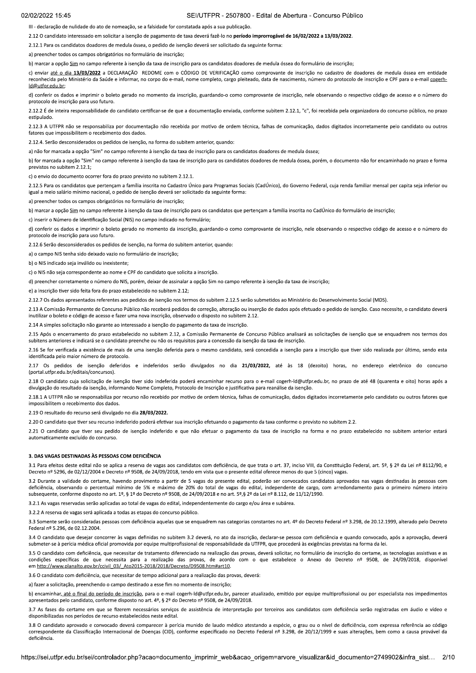III - declaração de nulidade do ato de nomeação, se a falsidade for constatada após a sua publicação.

2.12 O candidato interessado em solicitar a isenção de pagamento de taxa deverá fazê-lo no período improrrogável de 16/02/2022 a 13/03/2022.

2.12.1 Para os candidatos doadores de medula óssea, o pedido de isenção deverá ser solicitado da seguinte forma:

a) preencher todos os campos obrigatórios no formulário de inscrição:

b) marcar a opção Sim no campo referente à isenção da taxa de inscrição para os candidatos doadores de medula óssea do formulário de inscrição:

c) enviar até o dia 13/03/2022 a DECLARAÇÃO REDOME com o CÓDIGO DE VERIFICAÇÃO como comprovante de inscrição no cadastro de doadores de medula óssea em entidade reconhecida pelo Ministério da Saúde e informar, no corpo do e-mail, nome completo, cargo pleiteado, data de nascimento, número do protocolo de inscrição e CPF para o e-mail cogerh-Id@utfpr.edu.br:

d) conferir os dados e imprimir o boleto gerado no momento da inscrição, guardando-o como comprovante de inscrição, nele observando o respectivo código de acesso e o número do protocolo de inscrição para uso futuro.

2.12.2 É de inteira responsabilidade do candidato certificar-se de que a documentação enviada, conforme subitem 2.12.1, "c", foi recebida pela organizadora do concurso público, no prazo estipulado.

2.12.3 A UTFPR não se responsabiliza por documentação não recebida por motivo de ordem técnica, falhas de comunicação, dados digitados incorretamente pelo candidato ou outros fatores que impossibilitem o recebimento dos dados.

2.12.4. Serão desconsiderados os pedidos de isenção, na forma do subitem anterior, quando:

a) não for marcada a opção "Sim" no campo referente à isenção da taxa de inscrição para os candidatos doadores de medula óssea:

b) for marcada a opção "Sim" no campo referente à isenção da taxa de inscrição para os candidatos doadores de medula óssea, porém, o documento não for encaminhado no prazo e forma previstos no subitem 2.12.1;

c) o envio do documento ocorrer fora do prazo previsto no subitem 2.12.1.

2.12.5 Para os candidatos que pertençam a família inscrita no Cadastro Único para Programas Sociais (CadÚnico), do Governo Federal, cuja renda familiar mensal per capita seja inferior ou igual a meio salário mínimo nacional, o pedido de isenção deverá ser solicitado da seguinte forma:

a) preencher todos os campos obrigatórios no formulário de inscrição

b) marcar a opção Sim no campo referente à isenção da taxa de inscrição para os candidatos que pertençam a família inscrita no CadÚnico do formulário de inscrição;

c) inserir o Número de Identificação Social (NIS) no campo indicado no formulário:

d) conferir os dados e imprimir o boleto gerado no momento da inscrição, guardando-o como comprovante de inscrição, nele observando o respectivo código de acesso e o número do protocolo de inscrição para uso futuro.

2.12.6 Serão desconsiderados os pedidos de isenção, na forma do subitem anterior, quando:

a) o campo NIS tenha sido deixado vazio no formulário de inscrição:

b) o NIS indicado seja inválido ou inexistente:

c) o NIS não seja correspondente ao nome e CPE do candidato que solicita a inscrição.

d) preencher corretamente o número do NIS, porém, deixar de assinalar a opção Sim no campo referente à isenção da taxa de inscrição;

e) a inscrição tiver sido feita fora do prazo estabelecido no subitem 2.12

2.12.7 Os dados apresentados referentes aos pedidos de isenção nos termos do subitem 2.12.5 serão submetidos ao Ministério do Desenvolvimento Social (MDS).

2.13 A Comissão Permanente de Concurso Público não receberá pedidos de correção, alteração ou inserção de dados após efetuado o pedido de isenção. Caso necessite, o candidato deverá inutilizar o boleto e código de acesso e fazer uma nova inscrição, observado o disposto no subitem 2.12.

2.14 A simples solicitação não garante ao interessado a isenção do pagamento da taxa de inscrição

2.15 Após o encerramento do prazo estabelecido no subitem 2.12, a Comissão Permanente de Concurso Público analisará as solicitações de isenção que se enquadrem nos termos dos subitens anteriores e indicará se o candidato preenche ou não os requisitos para a concessão da isenção da taxa de inscrição.

2.16 Se for verificada a existência de mais de uma isenção deferida para o mesmo candidato, será concedida a isenção para a inscrição que tiver sido realizada por último, sendo esta identificada pelo maior número de protocolo.

2.17 Os pedidos de isenção deferidos e indeferidos serão divulgados no dia 21/03/2022, até às 18 (dezoito) horas, no endereço eletrônico do concurso (portal.utfpr.edu.br/editais/concursos).

2.18 O candidato cuja solicitação de isenção tiver sido indeferida poderá encaminhar recurso para o e-mail cogerh-Id@utfpr.edu.br, no prazo de até 48 (quarenta e oito) horas após a divulgação do resultado da isenção, informando Nome Completo, Protocolo de Inscrição e justificativa para reanálise da isenção.

2.18.1 A UTFPR não se responsabiliza por recurso não recebido por motivo de ordem técnica, falhas de comunicação, dados digitados incorretamente pelo candidato ou outros fatores que impossibilitem o recebimento dos dados.

2.19 O resultado do recurso será divulgado no dia 28/03/2022.

2.2. 2. O candidato que tiver seu recurso indeferido poderá efetivar sua inscrição efetuando o pagamento da taxa conforme o previsto no subitem 2.2.

2.21 O candidato que tiver seu pedido de isenção indeferido e que não efetuar o pagamento da taxa de inscrição na forma e no prazo estabelecido no subitem anterior estará automaticamente excluído do concurso.

#### 3. DAS VAGAS DESTINADAS ÀS PESSOAS COM DEFICIÊNCIA

3.1 Para efeitos deste edital não se aplica a reserva de vagas aos candidatos com deficiência, de que trata o art. 37, inciso VIII. da Constituicão Federal. art. 5º. § 2º da Lei nº 8112/90. e Decreto nº 5296. de 02/12/2004 e Decreto nº 9508, de 24/09/2018, tendo em vista que o presente edital oferece menos do que 5 (cinco) vagas.

3.2 Durante a validade do certame, havendo provimento a partir de 5 vagas do presente edital, poderão ser convocados candidatos aprovados nas vagas destinadas às pessoas com deficiência. observando o percentual mínimo de 5% e máximo de 20% do total de vagas do edital, independente de cargo, com arredondamento para o primeiro número inteiro subsequente, conforme disposto no art. 1º, § 1º do Decreto nº 9508, de 24/09/2018 e no art. 5º, § 2º da Lei nº 8.112, de 11/12/1990.

3.2.1 As vagas reservadas serão aplicadas ao total de vagas do edital, independentemente do cargo e/ou área e subárea.

3.2.2 A reserva de vagas será aplicada a todas as etapas do concurso público.

3.3 Somente serão consideradas pessoas com deficiência aquelas que se enquadrem nas categorias constantes no art. 4º do Decreto Federal nº 3.298, de 20.12.1999, alterado pelo Decreto Federal nº 5.296, de 02.12.2004.

3.4 O candidato que desejar concorrer às vagas definidas no subitem 3.2 deverá, no ato da inscrição, declarar-se pessoa com deficiência e quando convocado, após a aprovação, deverá submeter-se à perícia médica oficial promovida por equipe multiprofissional de responsabilidade da UTFPR, que procederá às exigências previstas na forma da lei.

3.5 O candidato com deficiência, que necessitar de tratamento diferenciado na realização das provas, deverá solicitar, no formulário de inscrição do certame, as tecnologias assistivas e as condições específicas de que necessita para a realização das provas, de acordo com o que estabelece o Anexo do Decreto nº 9508, de 24/09/2018, disponível em http://www.planalto.gov.br/ccivil\_03/\_Ato2015-2018/2018/Decreto/D9508.htm#art10.

3.6 O candidato com deficiência, que necessitar de tempo adicional para a realização das provas, deverá:

a) fazer a solicitação, preenchendo o campo destinado a esse fim no momento de inscrição;

b) encaminhar, até o final do período de inscrição, para o e-mail cogerh-Id@utfpr.edu.br, parecer atualizado, emitido por equipe multiprofissional ou por especialista nos impedimentos apresentados pelo candidato, conforme disposto no art. 4º, § 2º do Decreto nº 9508, de 24/09/2018.

3.7 As fases do certame em que se fizerem necessários serviços de assistência de interpretação por terceiros aos candidatos com deficiência serão registradas em áudio e vídeo e disponibilizadas nos períodos de recurso estabelecidos neste edital.

3.8 O candidato aprovado e convocado deverá comparecer à perícia munido de laudo médico atestando a espécie, o grau ou o nível de deficiência, com expressa referência ao código correspondente da Classificação Internacional de Doenças (CID), conforme especificado no Decreto Federal nº 3.298, de 20/12/1999 e suas alterações, bem como a causa provável da deficiência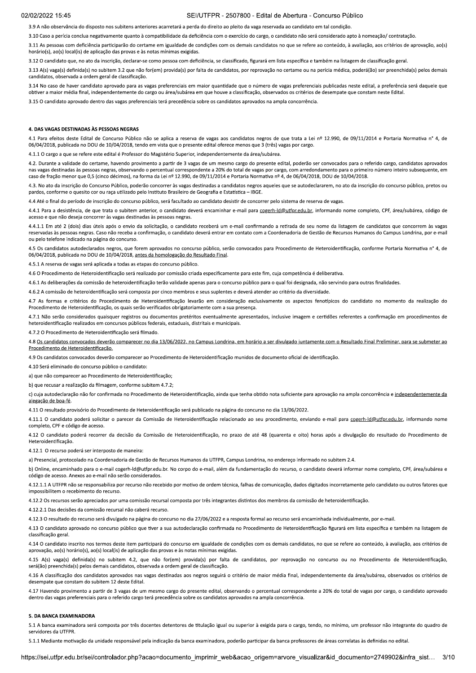# SEI/UTFPR - 2507800 - Edital de Abertura - Concurso Público

3.9 A não observância do disposto nos subitens anteriores acarretará a perda do direito ao pleito da vaga reservada ao candidato em tal condição

3.10 Caso a perícia conclua negativamente quanto à compatibilidade da deficiência com o exercício do cargo, o candidato não será considerado apto à nomeação/ contratação.

3.11 As pessoas com deficiência participarão do certame em igualdade de condições com os demais candidatos no que se refere ao conteúdo, à avaliação, aos critérios de aprovação, ao(s) horário(s), ao(s) local(is) de aplicação das provas e às notas mínimas exigidas.

3.12 O candidato que, no ato da inscrição, declarar-se como pessoa com deficiência, se classificado, figurará em lista específica e também na listagem de classificação geral.

3.13 A(s) vaga(s) definida(s) no subitem 3.2 que não for(em) provida(s) por falta de candidatos, por reprovação no certame ou na perícia médica, poderá(ão) ser preenchida(s) pelos demais candidatos, observada a ordem geral de classificação.

3.14 No caso de haver candidato aprovado para as vagas preferenciais em maior quantidade que o número de vagas preferenciais publicadas neste edital, a preferência será daquele que obtiver a maior média final, independentemente do cargo ou área/subárea em que houve a classificação, observados os critérios de desempate que constam neste Edital.

3.15 O candidato aprovado dentro das vagas preferenciais terá precedência sobre os candidatos aprovados na ampla concorrência

#### 4. DAS VAGAS DESTINADAS ÀS PESSOAS NEGRAS

4.1 Para efeitos deste Edital de Concurso Público não se aplica a reserva de vagas aos candidatos negros de que trata a Lei nº 12.990, de 09/11/2014 e Portaria Normativa nº 4, de 06/04/2018, publicada no DOU de 10/04/2018, tendo em vista que o presente edital oferece menos que 3 (três) vagas por cargo.

4.1.1 O cargo a que se refere este edital é Professor do Magistério Superior, independentemente da área/subárea.

4.2. Durante a validade do certame, havendo provimento a partir de 3 vagas de um mesmo cargo do presente edital, poderão ser convocados para o referido cargo, candidatos aprovados nas vagas destinadas às pessoas negras, observando o percentual correspondente a 20% do total de vagas por cargo, com arredondamento para o primeiro número inteiro subsequente, em caso de fração menor que 0,5 (cinco décimos), na forma da Lei nº 12.990, de 09/11/2014 e Portaria Normativa nº 4, de 06/04/2018, DOU de 10/04/2018.

4.3. No ato da inscrição do Concurso Público, poderão concorrer às vagas destinadas a candidatos negros aqueles que se autodeclararem, no ato da inscrição do concurso público, pretos ou pardos, conforme o quesito cor ou raça utilizado pelo Instituto Brasileiro de Geografia e Estatística - IBGE.

final do período de inscrição do concurso público, será facultado ao candidato desistir de concorrer pelo sistema de reserva de vagas.

4.4.1 Para a desistência, de que trata o subitem anterior, o candidato deverá encaminhar e-mail para cogerh-Id@utfpr.edu.br, informando nome completo, CPF, área/subárea, código de acesso e que não deseja concorrer às vagas destinadas às pessoas negras.

4.4.1.1 Em até 2 (dois) dias úteis após o envio da solicitação, o candidato receberá um e-mail confirmando a retirada de seu nome da listagem de candidatos que concorrem às vagas reservadas às pessoas negras. Caso não receba a confirmação, o candidato deverá entrar em contato com a Coordenadoria de Gestão de Recursos Humanos do Campus Londrina, por e-mail ou pelo telefone indicado na página do concurso.

4.5 Os candidatos autodeclarados negros, que forem aprovados no concurso público, serão convocados para Procedimento de Heteroidentificação, conforme Portaria Normativa nº 4, de 06/04/2018, publicada no DOU de 10/04/2018, antes da homologação do Resultado Final.

4.5.1 A reserva de vagas será aplicada a todas as etapas do concurso público

4.6 O Procedimento de Heteroidentificação será realizado por comissão criada especificamente para este fim, cuja competência é deliberativa.

4.6.1 As deliberações da comissão de heteroidentificação terão validade apenas para o concurso público para o qual foi designada, não servindo para outras finalidades.

4.6.2 A comissão de heteroidentificação será composta por cinco membros e seus suplentes e deverá atender ao critério da diversidade.

4.7 As formas e critérios do Procedimento de Heteroidentificação levarão em consideração exclusivamente os aspectos fenotípicos do candidato no momento da realização do Procedimento de Heteroidentificação, os quais serão verificados obrigatoriamente com a sua presença.

4.7.1 Não serão considerados quaisquer registros ou documentos pretéritos eventualmente apresentados, inclusive imagem e certidões referentes a confirmação em procedimentos de heteroidentificação realizados em concursos públicos federais, estaduais, distritais e municipais.

4.7.2 O Procedimento de Heteroidentificação será filmado.

4.8 Os candidatos convocados deverão comparecer no dia 13/06/2022, no Campus Londrina, em horário a ser divulgado juntamente com o Resultado Final Preliminar, para se submeter ao Procedimento de Heteroidentificação.

4.9 Os candidatos convocados deverão comparecer ao Procedimento de Heteroidentificação munidos de documento oficial de identificação.

4.10 Será eliminado do concurso público o candidato:

a) que não comparecer ao Procedimento de Heteroidentificação:

b) que recusar a realização da filmagem, conforme subitem 4.7.2;

c) cuja autodeclaração não for confirmada no Procedimento de Heteroidentificação, ainda que tenha obtido nota suficiente para aprovação na ampla concorrência e independentemente da alegação de boa-fé.

4.11 O resultado provisório do Procedimento de Heteroidentificação será publicado na página do concurso no dia 13/06/2022.

4.11.1 O candidato poderá solicitar o parecer da Comissão de Heteroidentificação relacionado ao seu procedimento, enviando e-mail para cogerh-ld@utfpr.edu.br. informando nome completo, CPF e código de acesso

4.12 O candidato poderá recorrer da decisão da Comissão de Heteroidentificação, no prazo de até 48 (quarenta e oito) horas após a divulgação do resultado do Procedimento de Heteroidentificação

4.12.1 O recurso poderá ser interposto de maneira:

a) Presencial, protocolado na Coordenadoria de Gestão de Recursos Humanos da UTFPR, Campus Londrina, no endereco informado no subitem 2.4

b) Online, encaminhado para o e-mail cogerh-Id@utfpr.edu.br. No corpo do e-mail, além da fundamentação do recurso, o candidato deverá informar nome completo, CPF, área/subárea e código de acesso. Anexos ao e-mail não serão considerados

4.12.1.1 A UTFPR não se responsabiliza por recurso não recebido por motivo de ordem técnica, falhas de comunicação, dados digitados incorretamente pelo candidato ou outros fatores que impossibilitem o recebimento do recurso.

4.12.2 Os recursos serão apreciados por uma comissão recursal composta por três integrantes distintos dos membros da comissão de heteroidentificação.

4.12.2.1 Das decisões da comissão recursal não caberá recurso.

4.12.3 O resultado do recurso será divulgado na página do concurso no dia 27/06/2022 e a resposta formal ao recurso será encaminhada individualmente, por e-mail.

4.13 O candidato aprovado no concurso público que tiver a sua autodeclaração confirmada no Procedimento de Heteroidentificação figurará em lista específica e também na listagem de classificação geral.

4.14 O candidato inscrito nos termos deste item participará do concurso em igualdade de condições com os demais candidatos, no que se refere ao conteúdo, à avaliação, aos critérios de aprovação, ao(s) horário(s), ao(s) local(is) de aplicação das provas e às notas mínimas exigidas.

4.15 A(s) vaga(s) definida(s) no subitem 4.2, que não for(em) provida(s) por falta de candidatos, por reprovação no concurso ou no Procedimento de Heteroidentificação, será(ão) preenchida(s) pelos demais candidatos, observada a ordem geral de classificação.

4.16 A classificação dos candidatos aprovados nas vagas destinadas aos negros seguirá o critério de maior média final, independentemente da área/subárea, observados os critérios de desempate que constam do subitem 12 deste Edital

4.17 Havendo provimento a partir de 3 vagas de um mesmo cargo do presente edital, observando o percentual correspondente a 20% do total de vagas por cargo, o candidato aprovado dentro das vagas preferenciais para o referido cargo terá precedência sobre os candidatos aprovados na ampla concorrência.

#### 5. DA BANCA EXAMINADORA

5.1 A banca examinadora será composta por três docentes detentores de titulação igual ou superior à exigida para o cargo, tendo, no mínimo, um professor não integrante do quadro de servidores da UTFPR.

5.1.1 Mediante motivação da unidade responsável pela indicação da banca examinadora, poderão participar da banca professores de áreas correlatas às definidas no edital.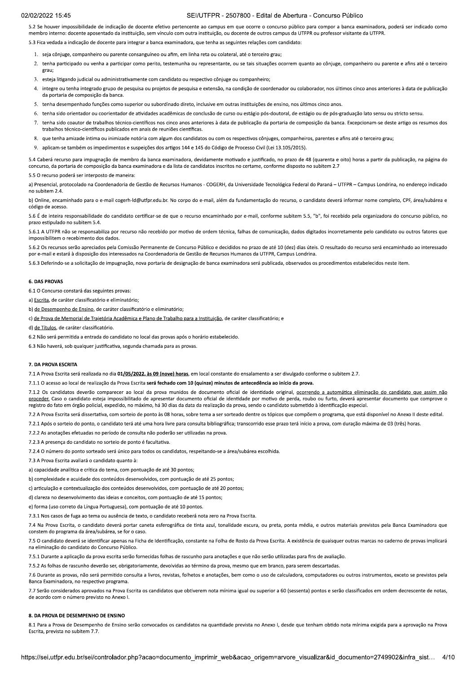# SEI/UTEPR - 2507800 - Edital de Abertura - Concurso Público

5.2 Se houver impossibilidade de indicação de docente efetivo pertencente ao campus em que ocorre o concurso público para compor a banca examinadora, poderá ser indicado como membro interno: docente aposentado da instituição, sem vínculo com outra instituição, ou docente de outros campus da UTFPR ou professor visitante da UTFPR.

5.3 Fica vedada a indicação de docente para integrar a banca examinadora, que tenha as seguintes relações com candidato

- 1. seja côniuge, companheiro ou parente consanguíneo ou afim, em linha reta ou colateral, até o terceiro grau:
- 2. tenha participado ou venha a participar como perito, testemunha ou representante, ou se tais situações ocorrem quanto ao cônjuge, companheiro ou parente e afins até o terceiro  $grain$
- 3. esteja litigando judicial ou administrativamente com candidato ou respectivo côniuge ou companheiro;
- 4. integre ou tenha integrado grupo de pesquisa ou projetos de pesquisa e extensão, na condição de coordenador ou colaborador, nos últimos cinco anos anteriores à data de publicação da portaria de composição da banca
- 5. tenha desempenhado funções como superior ou subordinado direto, inclusive em outras instituições de ensino, nos últimos cinco anos.
- 6. tenha sido orientador ou coorientador de atividades acadêmicas de conclusão de curso ou estágio pós-doutoral, de estágio ou de pós-graduação lato sensu ou stricto sensu.
- 7. tenha sido coautor de trabalhos técnico-científicos nos cinco anos anteriores à data de publicação da portaria de composição da banca. Excepcionam-se deste artigo os resumos dos trabalhos técnico-científicos publicados em anais de reuniões científicas.
- 8. que tenha amizade íntima ou inimizade notória com algum dos candidatos ou com os respectivos cônjuges, companheiros, parentes e afins até o terceiro grau;
- aplicam-se também os impedimentos e suspeições dos artigos 144 e 145 do Código de Processo Civil (Lei 13.105/2015).

5.4 Caberá recurso para impugnação de membro da banca examinadora, devidamente motivado e justificado, no prazo de 48 (quarenta e oito) horas a partir da publicação, na página do concurso, da portaria de composição da banca examinadora e da lista de candidatos inscritos no certame, conforme disposto no subitem 2.7

5.5 O recurso poderá ser interposto de maneira

a) Presencial, protocolado na Coordenadoria de Gestão de Recursos Humanos - COGERH, da Universidade Tecnológica Federal do Paraná - UTFPR - Campus Londrina, no endereco indicado no subitem 2.4

b) Online, encaminhado para o e-mail cogerh-Id@utfpr.edu.br. No corpo do e-mail, além da fundamentação do recurso, o candidato deverá informar nome completo, CPF, área/subárea e código de acesso.

5.6 É de inteira responsabilidade do candidato certificar-se de que o recurso encaminhado por e-mail, conforme subitem 5.5, "b", foi recebido pela organizadora do concurso público, no prazo estipulado no subitem 5.4.

5.6.1 A UTFPR não se responsabiliza por recurso não recebido por motivo de ordem técnica, falhas de comunicação, dados digitados incorretamente pelo candidato ou outros fatores que impossibilitem o recebimento dos dados

5.6.2 Os recursos serão apreciados pela Comissão Permanente de Concurso Público e decididos no prazo de até 10 (dez) dias úteis. O resultado do recurso será encaminhado ao interessado por e-mail e estará à disposição dos interessados na Coordenadoria de Gestão de Recursos Humanos da UTFPR, Campus Londrina.

5.6.3 Deferindo-se a solicitação de impugnação, nova portaria de designação de bança examinadora será publicada, observados os procedimentos estabelecidos neste item

#### **6. DAS PROVAS**

6.1 O Concurso constará das seguintes provas:

a) Escrita, de caráter classificatório e eliminatório;

b) de Desempenho de Ensino, de caráter classificatório e eliminatório;

c) de Prova de Memorial de Trajetória Acadêmica e Plano de Trabalho para a Instituição, de caráter classificatório; e

d) de Títulos, de caráter classificatório

6.2 Não será permitida a entrada do candidato no local das provas após o horário estabelecido.

6.3 Não haverá, sob qualquer justificativa, segunda chamada para as provas.

#### 7. DA PROVA ESCRITA

7.1 A Prova Escrita será realizada no dia 01/05/2022, às 09 (nove) horas, em local constante do ensalamento a ser divulgado conforme o subitem 2.7.

7.1.1 O acesso ao local de realização da Prova Escrita será fechado com 10 (quinze) minutos de antecedência ao início da prova.

7.1.2 Os candidatos deverão comparecer ao local da prova munidos de documento oficial de identidade original, ocorrendo a automática eliminação do candidato que assim não proceder. Caso o candidato esteja impossibilitado de apresentar documento oficial de identidade por motivo de perda, roubo ou furto, deverá apresentar documento que comprove o registro do fato em órgão policial, expedido, no máximo, há 30 dias da data da realização da prova, sendo o candidato submetido à identificação especial.

7.2 A Prova Escrita será dissertativa, com sorteio de ponto às 08 horas, sobre tema a ser sorteado dentre os tópicos que compõem o programa, que está disponível no Anexo II deste edital.

7.2.1 Após o sorteio do ponto, o candidato terá até uma hora livre para consulta bibliográfica; transcorrido esse prazo terá início a prova, com duração máxima de 03 (três) horas.

7.2.2 As anotações efetuadas no período de consulta não poderão ser utilizadas na prova

7.2.3 A presença do candidato no sorteio de ponto é facultativa.

7.2.4 O número do ponto sorteado será único para todos os candidatos, respeitando-se a área/subárea escolhida.

7.3 A Prova Escrita avaliará o candidato quanto à:

a) capacidade analítica e crítica do tema, com pontuação de até 30 pontos;

b) complexidade e acuidade dos conteúdos desenvolvidos, com pontuação de até 25 pontos:

c) articulação e contextualização dos conteúdos desenvolvidos, com pontuação de até 20 pontos;

d) clareza no desenvolvimento das ideias e conceitos, com pontuação de até 15 pontos;

e) forma (uso correto da Língua Portuguesa), com pontuação de até 10 pontos.

7.3.1 Nos casos de fuga ao tema ou ausência de texto, o candidato receberá nota zero na Prova Escrita.

7.4 Na Prova Escrita, o candidato deverá portar caneta esferográfica de tinta azul, tonalidade escura, ou preta, ponta média, e outros materiais previstos pela Banca Examinadora que constem do programa da área/subárea, se for o caso.

7.5 O candidato deverá se identificar apenas na Ficha de Identificação, constante na Folha de Rosto da Prova Escrita. A existência de quaisquer outras marcas no caderno de provas implicará na eliminação do candidato do Concurso Público

7.5.1 Durante a aplicação da prova escrita serão fornecidas folhas de rascunho para anotações e que não serão utilizadas para fins de avaliação.

7.5.2 As folhas de rascunho deverão ser, obrigatoriamente, devolvidas ao término da prova, mesmo que em branco, para serem descartadas,

7.6 Durante as provas, não será permitido consulta a livros, revistas, folhetos e anotações, bem como o uso de calculadora, computadores ou outros instrumentos, exceto se previstos pela Banca Examinadora, no respectivo programa.

7.7 Serão considerados aprovados na Prova Escrita os candidatos que obtiverem nota mínima igual ou superior a 60 (sessenta) pontos e serão classificados em ordem decrescente de notas, de acordo com o número previsto no Anexo I.

#### 8. DA PROVA DE DESEMPENHO DE ENSINO

8.1 Para a Prova de Desempenho de Ensino serão convocados os candidatos na quantidade prevista no Anexo I, desde que tenham obtido nota mínima exigida para a aprovação na Prova Escrita, prevista no subitem 7.7.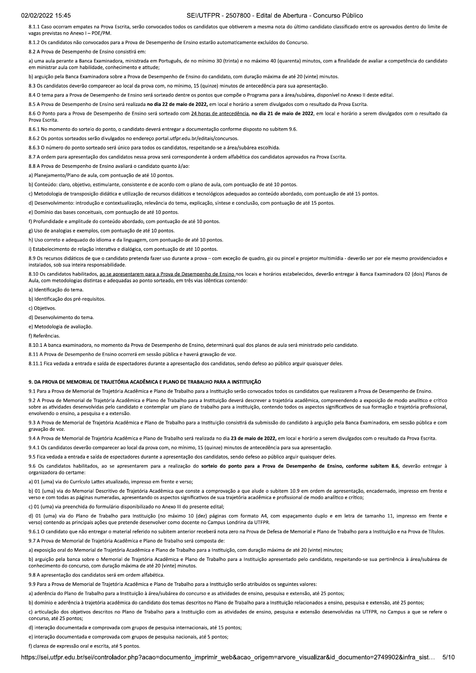# SEI/UTFPR - 2507800 - Edital de Abertura - Concurso Público

8.1.1 Caso ocorram empates na Prova Escrita, serão convocados todos os candidatos que obtiverem a mesma nota do último candidato classificado entre os aprovados dentro do limite de vagas previstas no Anexo I - PDE/PM.

8.1.2 Os candidatos não convocados para a Prova de Desempenho de Ensino estarão automaticamente excluídos do Concurso.

8.2 A Prova de Desempenho de Ensino consistirá em:

a) uma aula perante a Banca Examinadora, ministrada em Português, de no mínimo 30 (trinta) e no máximo 40 (quarenta) minutos, com a finalidade de avaliar a competência do candidato em ministrar aula com habilidade, conhecimento e atitude;

b) arguição pela Banca Examinadora sobre a Prova de Desempenho de Ensino do candidato, com duração máxima de até 20 (vinte) minutos.

8.3 Os candidatos deverão comparecer ao local da prova com, no mínimo, 15 (quinze) minutos de antecedência para sua apresentação

8.4 O tema para a Prova de Desempenho de Ensino será sorteado dentre os pontos que compõe o Programa para a área/subárea, disponível no Anexo II deste edital.

8.5 A Prova de Desempenho de Ensino será realizada no dia 22 de maio de 2022, em local e horário a serem divulgados com o resultado da Prova Escrita.

8.6 O Ponto para a Prova de Desempenho de Ensino será sorteado com 24 horas de antecedência, no dia 21 de maio de 2022, em local e horário a serem divulgados com o resultado da Prova Escrita.

8.6.1 No momento do sorteio do ponto, o candidato deverá entregar a documentação conforme disposto no subitem 9.6.

8.6.2 Os pontos sorteados serão divulgados no endereço portal.utfpr.edu.br/editais/concursos

8.6.3 O número do ponto sorteado será único para todos os candidatos, respeitando-se a área/subárea escolhida

8.7 A ordem para apresentação dos candidatos nessa prova será correspondente à ordem alfabética dos candidatos aprovados na Prova Escrita

8.8 A Prova de Desempenho de Ensino avaliará o candidato quanto à/ao:

a) Planeiamento/Plano de aula, com pontuação de até 10 pontos.

b) Conteúdo: claro, objetivo, estimulante, consistente e de acordo com o plano de aula, com pontuação de até 10 pontos.

c) Metodologia de transposição didática e utilização de recursos didáticos e tecnológicos adequados ao conteúdo abordado, com pontuação de até 15 pontos.

d) Desenvolvimento: introdução e contextualização, relevância do tema, explicação, síntese e conclusão, com pontuação de até 15 pontos.

e) Domínio das bases conceituais, com pontuação de até 10 pontos.

f) Profundidade e amplitude do conteúdo abordado, com pontuação de até 10 pontos.

g) Uso de analogias e exemplos, com pontuação de até 10 pontos

h) Uso correto e adequado do idioma e da linguagem, com pontuação de até 10 pontos.

i) Estabelecimento de relação interativa e dialógica, com pontuação de até 10 pontos.

8.9 Os recursos didáticos de que o candidato pretenda fazer uso durante a prova - com exceção de quadro, giz ou pincel e projetor multimídia - deverão ser por ele mesmo providenciados e instalados, sob sua inteira responsabilidade.

8.10 Os candidatos habilitados, ao se apresentarem para a Prova de Desempenho de Ensino nos locais e horários estabelecidos, deverão entregar à Banca Examinadora 02 (dois) Planos de Aula, com metodologias distintas e adequadas ao ponto sorteado, em três vias idênticas contendo:

a) Identificação do tema

b) Identificação dos pré-requisitos.

c) Objetivos

d) Desenvolvimento do tema.

e) Metodologia de avaliação

f) Referências

8.10.1 A banca examinadora, no momento da Prova de Desempenho de Ensino, determinará qual dos planos de aula será ministrado pelo candidato.

8.11 A Prova de Desempenho de Ensino ocorrerá em sessão pública e haverá gravação de voz.

8.11.1 Fica vedada a entrada e saída de espectadores durante a apresentação dos candidatos, sendo defeso ao público arguir quaisquer deles.

## 9. DA PROVA DE MEMORIAL DE TRAJETÓRIA ACADÊMICA E PLANO DE TRABALHO PARA A INSTITUIÇÃO

9.1 Para a Prova de Memorial de Trajetória Acadêmica e Plano de Trabalho para a Instituição serão convocados todos os candidatos que realizarem a Prova de Desempenho de Ensino.

92 A Prova de Memorial de Trajetória Acadêmica e Plano de Trabalho para a Instituição deverá descrever a trajetória acadêmica, compreendendo a exposição de modo apalítico e crítico sobre as atividades desenvolvidas pelo candidato e contemplar um plano de trabalho para a instituição, contendo todos os aspectos significativos de sua formação e trajetória profissional, envolvendo o ensino, a pesquisa e a extensão.

9.3 A Prova de Memorial de Traietória Acadêmica e Plano de Trabalho para a Instituição consistirá da submissão do candidato à arguição pela Banca Examinadora, em sessão pública e com gravação de voz

9.4 A Prova de Memorial de Trajetória Acadêmica e Plano de Trabalho será realizada no dia 23 de maio de 2022, em local e horário a serem divulgados com o resultado da Prova Escrita.

9.4.1 Os candidatos deverão comparecer ao local da prova com, no mínimo, 15 (quinze) minutos de antecedência para sua apresentação.

9.5 Fica vedada a entrada e saída de espectadores durante a apresentação dos candidatos, sendo defeso ao público arguir quaisquer deles.

9.6 Os candidatos habilitados, ao se apresentarem para a realização do sorteio do ponto para a Prova de Desempenho de Ensino, conforme subitem 8.6, deverão entregar à organizadora do certame:

a) 01 (uma) via do Currículo Lattes atualizado, impresso em frente e verso;

b) 01 (uma) via do Memorial Descritivo de Trajetória Acadêmica que conste a comprovação a que alude o subitem 10.9 em ordem de apresentação, encadernado, impresso em frente e verso e com todas as páginas numeradas, apresentando os aspectos significativos de sua trajetória acadêmica e profissional de modo analítico e crítico;

preenchida do formulário disponibilizado no Anexo III do presente edital

d) 01 (uma) via do Plano de Trabalho para Instituição (no máximo 10 (dez) páginas com formato A4, com espaçamento duplo e em letra de tamanho 11, impresso em frente e verso) contendo as principais ações que pretende desenvolver como docente no Campus Londrina da UTFPR

9.6.1 O candidato que não entregar o material referido no subitem anterior receberá nota zero na Prova de Defesa de Memorial e Plano de Trabalho para a Instituição e na Prova de Títulos 9.7 A Prova de Memorial de Trajetória Acadêmica e Plano de Trabalho será composta de:

a) exposição oral do Memorial de Trajetória Acadêmica e Plano de Trabalho para a Instituição, com duração máxima de até 20 (vinte) minutos;

b) arguição pela bança sobre o Memorial de Trajetória Acadêmica e Plano de Trabalho para a Instituição apresentado pelo candidato, respeitando-se sua pertinência à área/subárea de conhecimento do concurso, com duração máxima de até 20 (vinte) minutos.

9.8 A apresentação dos candidatos será em ordem alfabética

9.9 Para a Prova de Memorial de Traietória Acadêmica e Plano de Trabalho para a Instituição serão atribuídos os seguintes valores:

a) aderência do Plano de Trabalho para a Instituição à área/subárea do concurso e as atividades de ensino, pesquisa e extensão, até 25 pontos;

b) domínio e aderência à trajetória acadêmica do candidato dos temas descritos no Plano de Trabalho para a Instituição relacionados a ensino, pesquisa e extensão, até 25 pontos;

c) articulação dos objetivos descritos no Plano de Trabalho para a Instituição com as atividades de ensino, pesquisa e extensão desenvolvidas na UTFPR, no Campus a que se refere o concurso, até 25 pontos;

d) interação documentada e comprovada com grupos de pesquisa internacionais, até 15 pontos;

e) interação documentada e comprovada com grupos de pesquisa nacionais, até 5 pontos:

f) clareza de expressão oral e escrita, até 5 pontos

https://sei.utfpr.edu.br/sei/controlador.php?acao=documento\_imprimir\_web&acao\_origem=arvore\_visualizar&id\_documento=2749902&infra\_sist...  $5/10$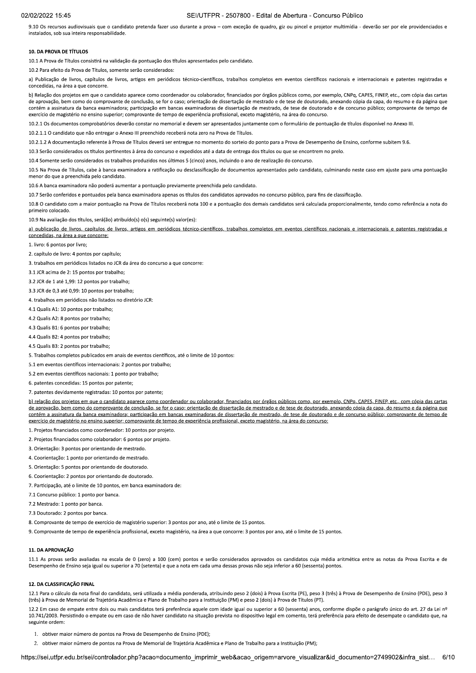## SEI/UTFPR - 2507800 - Edital de Abertura - Concurso Público

9.10 Os recursos audiovisuais que o candidato pretenda fazer uso durante a prova - com exceção de quadro, giz ou pincel e projetor multimídia - deverão ser por ele providenciados e instalados, sob sua inteira responsabilidade.

#### 10. DA PROVA DE TÍTULOS

10.1 A Prova de Títulos consistirá na validação da pontuação dos títulos apresentados pelo candidato.

10.2 Para efeito da Prova de Títulos, somente serão considerados:

a) Publicação de livros, capítulos de livros, artigos em periódicos técnico-científicos, trabalhos completos em eventos científicos nacionais e internacionais e patentes registradas e concedidas, na área a que concorre.

b) Relação dos projetos em que o candidato aparece como coordenador ou colaborador, financiados por órgãos públicos como, por exemplo, CNPg, CAPES, FINEP, etc., com cópia das cartas de aprovação, bem como do comprovante de conclusão, se for o caso; orientação de dissertação de mestrado e de tese de doutorado, anexando cópia da capa, do resumo e da página que contém a assinatura da banca examinadora; participação em bancas examinadoras de dissertação de mestrado, de tese de doutorado e de concurso público; comprovante de tempo de exercício de magistério no ensino superior; comprovante de tempo de experiência profissional, exceto magistério, na área do concurso.

10.2.1 Os documentos comprobatórios deverão constar no memorial e devem ser apresentados juntamente com o formulário de pontuação de títulos disponível no Anexo III.

10.2.1.1 O candidato que não entregar o Anexo III preenchido receberá nota zero na Prova de Títulos.

10.2.1.2 A documentação referente à Prova de Títulos deverá ser entregue no momento do sortejo do ponto para a Prova de Desempenho de Ensino, conforme subitem 9.6.

10.3 Serão considerados os títulos pertinentes à área do concurso e expedidos até a data de entrega dos títulos ou que se encontrem no prelo.

10.4 Somente serão considerados os trabalhos produzidos nos últimos 5 (cinco) anos, incluindo o ano de realização do concurso

10.5 Na Prova de Títulos, cabe à banca examinadora a ratificação ou desclassificação de documentos apresentados pelo candidato, culminando neste caso em ajuste para uma pontuação menor do que a preenchida pelo candidato.

10.6 A banca examinadora não poderá aumentar a pontuação previamente preenchida pelo candidato.

10.7 Serão conferidos e pontuados pela banca examinadora apenas os títulos dos candidatos aprovados no concurso público, para fins de classificação

10.8 O candidato com a maior pontuação na Prova de Títulos receberá nota 100 e a pontuação dos demais candidatos será calculada proporcionalmente, tendo como referência a nota do primeiro colocado

10.9 Na avaliação dos títulos, será(ão) atribuído(s) o(s) seguinte(s) valor(es):

a) publicação de livros, capítulos de livros, artigos em periódicos técnico-científicos, trabalhos completos em eventos científicos nacionais e internacionais e patentes registradas e concedidas, na área a que concorre:

1. livro: 6 pontos por livro:

2. capítulo de livro: 4 pontos por capítulo;

3. trabalhos em periódicos listados no JCR da área do concurso a que concorre:

3.1 JCR acima de 2: 15 pontos por trabalho:

3.2 JCR de 1 até 1.99: 12 pontos por trabalho:

3.3 JCR de 0,3 até 0,99: 10 pontos por trabalho;

4. trabalhos em periódicos não listados no diretório JCR:

4.1 Qualis A1: 10 pontos por trabalho

4.2 Qualis A2: 8 pontos por trabalho;

4.3 Qualis B1: 6 pontos por trabalho:

4.4 Qualis B2: 4 pontos por trabalho;

4.5 Qualis B3: 2 pontos por trabalho:

5. Trabalhos completos publicados em anais de eventos científicos, até o limite de 10 pontos:

5.1 em eventos científicos internacionais: 2 pontos por trabalho;

5.2 em eventos científicos nacionais: 1 ponto por trabalho:

6. patentes concedidas: 15 pontos por patente;

7. patentes devidamente registradas: 10 pontos por patente:

b) relação dos projetos em que o candidato aparece como coordenador ou colaborador, financiados por órgãos públicos como, por exemplo, CNPq, CAPES, FINEP, etc., com cópia das cartas de aprovação, bem como do comprovante de conclusão, se for o caso; orientação de dissertação de mestrado e de tese de doutorado, anexando cópia da capa, do resumo e da página que contém a assinatura da banca examinadora; participação em bancas examinadoras de dissertação de mestrado, de tese de doutorado e de concurso público; comprovante de tempo de exercício de magistério no ensino superior; comprovante de tempo de experiência profissional, exceto magistério, na área do concurso:

1. Projetos financiados como coordenador: 10 pontos por projeto

2. Projetos financiados como colaborador: 6 pontos por projeto.

3. Orientação: 3 pontos por orientando de mestrado

4. Coorientação: 1 ponto por orientando de mestrado.

5. Orientação: 5 pontos por orientando de doutorado

6. Coorientação: 2 pontos por orientando de doutorado.

7. Participação, até o limite de 10 pontos, em banca examinadora de:

7.1 Concurso público: 1 ponto por banca.

7.2 Mestrado: 1 ponto por banca.

7.3 Doutorado: 2 pontos por banca.

8. Comprovante de tempo de exercício de magistério superior: 3 pontos por ano, até o limite de 15 pontos.

9. Comprovante de tempo de experiência profissional, exceto magistério, na área a que concorre: 3 pontos por ano, até o limite de 15 pontos.

### 11. DA APROVAÇÃO

11.1 As provas serão avaliadas na escala de 0 (zero) a 100 (cem) pontos e serão considerados aprovados os candidatos cuja média aritmética entre as notas da Prova Escrita e de Desempenho de Ensino seja igual ou superior a 70 (setenta) e que a nota em cada uma dessas provas não seja inferior a 60 (sessenta) pontos.

### 12. DA CLASSIFICAÇÃO FINAL

12.1 Para o cálculo da nota final do candidato. será utilizada a média ponderada, atribuindo peso 2 (dois) à Prova Escrita (PE), peso 3 (três) à Prova de Desempenho de Ensino (PDE), peso 3 (três) à Prova de Memorial de Trajetória Acadêmica e Plano de Trabalho para a Instituição (PM) e peso 2 (dois) à Prova de Títulos (PT).

12.2 Em caso de empate entre dois ou mais candidatos terá preferência aquele com idade igual ou superior a 60 (sessenta) anos, conforme dispõe o parágrafo único do art. 27 da Lei nº 10.741/2003. Persistindo o empate ou em caso de não haver candidato na situação prevista no dispositivo legal em comento, terá preferência para efeito de desempate o candidato que, na seguinte ordem:

1. obtiver maior número de pontos na Prova de Desempenho de Ensino (PDE);

2. obtiver maior número de pontos na Prova de Memorial de Trajetória Acadêmica e Plano de Trabalho para a Instituição (PM);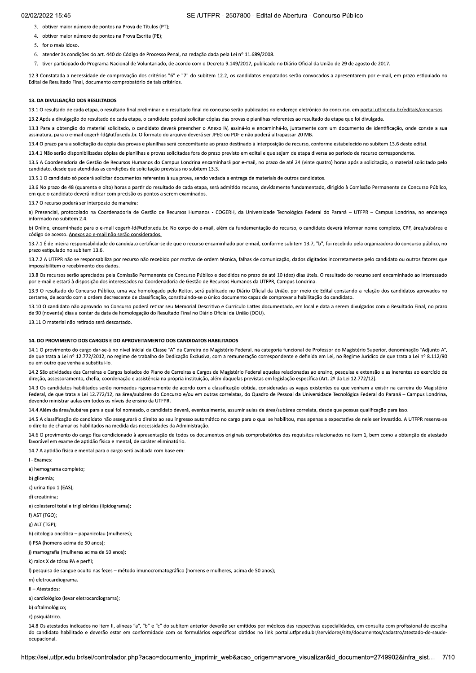- 3. obtiver maior número de pontos na Prova de Títulos (PT):
- 4. obtiver maior número de pontos na Prova Escrita (PE);
- 5. for o mais idoso.
- 6. atender às condicões do art. 440 do Código de Processo Penal, na redação dada pela Lei nº 11.689/2008.
- 7. tiver participado do Programa Nacional de Voluntariado, de acordo com o Decreto 9.149/2017, publicado no Diário Oficial da União de 29 de agosto de 2017.

12.3 Constatada a necessidade de comprovação dos critérios "6" e "7" do subitem 12.2, os candidatos empatados serão convocados a apresentarem por e-mail, em prazo estipulado no Edital de Resultado Final, documento comprobatório de tais critérios.

# 13. DA DIVULGAÇÃO DOS RESULTADOS

13.1 O resultado de cada etapa, o resultado final preliminar e o resultado final do concurso serão publicados no endereco eletrônico do concurso, em portal.utfor.edu.br/editais/concursos

13.2 Após a divulgação do resultado de cada etapa, o candidato poderá solicitar cópias das provas e planilhas referentes ao resultado da etapa que foi divulgada.

13.3 Para a obtenção do material solicitado, o candidato deverá preencher o Anexo IV, assiná-lo e encaminhá-lo, juntamente com um documento de identificação, onde conste a sua assinatura, para o e-mail cogerh-ld@utfpr.edu.br. O formato do arquivo deverá ser JPEG ou PDF e não poderá ultrapassar 20 MB.

13.4 O prazo para a solicitação da cópia das provas e planilhas será concomitante ao prazo destinado à interposição de recurso, conforme estabelecido no subitem 13.6 deste edital.

13.4.1 Não serão disponibilizadas cópias de planilhas e provas solicitadas fora do prazo previsto em edital e que sejam de etapa diversa ao período de recurso correspondente.

13.5 A Coordenadoria de Gestão de Recursos Humanos do Campus Londrina encaminhará por e-mail, no prazo de até 24 (vinte quatro) horas após a solicitação, o material solicitado pelo candidato, desde que atendidas as condições de solicitação previstas no subitem 13.3.

13.5.1 O candidato só poderá solicitar documentos referentes à sua prova, sendo vedada a entrega de materiais de outros candidatos.

13.6 No prazo de 48 (quarenta e oito) horas a partir do resultado de cada etapa, será admitido recurso, devidamente fundamentado, dirigido à Comissão Permanente de Concurso Público, em que o candidato deverá indicar com precisão os pontos a serem examinados.

13.7 O recurso poderá ser interposto de maneira:

a) Presencial, protocolado na Coordenadoria de Gestão de Recursos Humanos - COGERH, da Universidade Tecnológica Federal do Paraná - UTFPR - Campus Londrina, no endereco informado no subitem 2.4.

b) Online, encaminhado para o e-mail cogerh-Id@utfpr.edu.br. No corpo do e-mail, além da fundamentação do recurso, o candidato deverá informar nome completo, CPF, área/subárea e código de acesso. Anexos ao e-mail não serão considerados.

13.7.1 É de inteira responsabilidade do candidato certificar-se de que o recurso encaminhado por e-mail, conforme subitem 13.7. "b", foi recebido pela organizadora do concurso público, no prazo estipulado no subitem 13.6.

13.7.2 A UTFPR não se responsabiliza por recurso não recebido por motivo de ordem técnica, falhas de comunicação, dados digitados incorretamente pelo candidato ou outros fatores que impossibilitem o recebimento dos dados.

13.8 Os recursos serão apreciados pela Comissão Permanente de Concurso Público e decididos no prazo de até 10 (dez) dias úteis. O resultado do recurso será encaminhado ao interessado por e-mail e estará à disposição dos interessados na Coordenadoria de Gestão de Recursos Humanos da UTFPR, Campus Londrina

13.9 O resultado do Concurso Público, uma vez homologado pelo Reitor, será publicado no Diário Oficial da União, por meio de Edital constando a relação dos candidatos aprovados no certame, de acordo com a ordem decrescente de classificação, constituindo-se o único documento capaz de comprovar a habilitação do candidato.

13.10 O candidato não aprovado no Concurso poderá retirar seu Memorial Descritivo e Currículo Lattes documentado, em local e data a serem divulgados com o Resultado Final, no prazo de 90 (noventa) dias a contar da data de homologação do Resultado Final no Diário Oficial da União (DOU)

13.11 O material não retirado será descartado.

### 14. DO PROVIMENTO DOS CARGOS E DO APROVEITAMENTO DOS CANDIDATOS HABILITADOS

14.1 O provimento do cargo dar-se-á no nível inicial da Classe "A" da Carreira do Magistério Federal, na categoria funcional de Professor do Magistério Superior, denominação "Adjunto A", de que trata a Lei nº 12.772/2012, no regime de trabalho de Dedicação Exclusiva, com a remuneração correspondente e definida em Lei, no Regime Jurídico de que trata a Lei nº 8.112/90 ou em outro que venha a substituí-lo

14.2 São atividades das Carreiras e Cargos Isolados do Plano de Carreiras e Cargos de Magistério Federal aquelas relacionadas ao ensino, pesquisa e extensão e as inerentes ao exercício de direção, assessoramento, chefia, coordenação e assistência na própria instituição, além daquelas previstas em legislação específica (Art. 2º da Lei 12.772/12).

14.3 Os candidatos habilitados serão nomeados rigorosamente de acordo com a classificação obtida, consideradas as vagas existentes ou que venham a existir na carreira do Magistério Federal, de que trata a Lei 12.772/12, na área/subárea do Concurso e/ou em outras correlatas, do Quadro de Pessoal da Universidade Tecnológica Federal do Paraná - Campus Londrina, devendo ministrar aulas em todos os níveis de ensino da UTFPR.

14.4 Além da área/subárea para a qual foi nomeado, o candidato deverá, eventualmente, assumir aulas de área/subárea correlata, desde que possua qualificação para isso.

14.5 A classificação do candidato não assegurará o direito ao seu ingresso automático no cargo para o qual se habilitou, mas apenas a expectativa de nele ser investido. A UTFPR reserva-se o direito de chamar os habilitados na medida das necessidades da Administração

14.6 O provimento do cargo fica condicionado à apresentação de todos os documentos originais comprobatórios dos requisitos relacionados no item 1, bem como a obtenção de atestado favorável em exame de aptidão física e mental, de caráter eliminatório.

14.7 A aptidão física e mental para o cargo será avaliada com base em

I - Exames

a) hemograma completo;

b) glicemia;

c) urina fino 1 (FAS):

d) creatinina:

e) colesterol total e triglicérides (lipidograma);

f) AST (TGO):

g) ALT (TGP);

h) citologia oncótica - papanicolau (mulheres);

i) PSA (homens acima de 50 anos);

j) mamografia (mulheres acima de 50 anos);

k) raios X de tórax PA e perfil:

I) pesquisa de sangue oculto nas fezes – método imunocromatográfico (homens e mulheres, acima de 50 anos):

m) eletrocardiograma.

II - Atestados:

a) cardiológico (levar eletrocardiograma);

b) oftalmológico;

c) psiquiátrico

14.8 Os atestados indicados no item II, alíneas "a", "b" e "c" do subitem anterior deverão ser emitidos por médicos das respectivas especialidades, em consulta com profissional de escolha do candidato habilitado e deverão estar em conformidade com os formulários específicos obtidos no link portal.utfpr.edu.br/servidores/site/documentos/cadastro/atestado-de-saudeocupacional.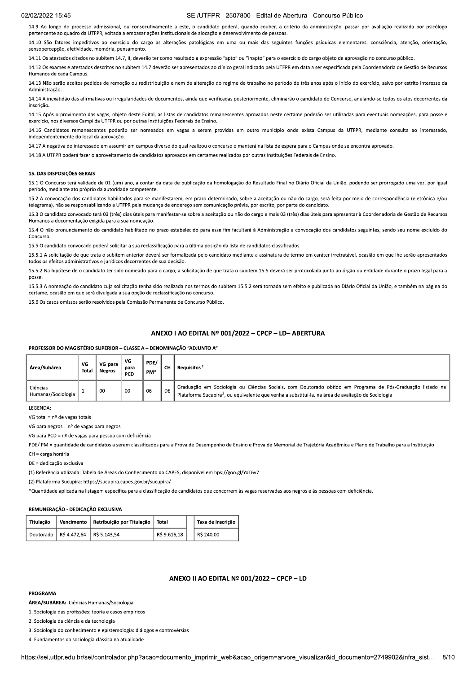14.9 Ao longo do processo admissional, ou consecutivamente a este, o candidato poderá, quando couber, a critério da administração, passar por avaliação realizada por psicólogo pertencente ao quadro da UTFPR, voltada a embasar ações institucionais de alocação e desenvolvimento de pessoas.

14.10 São fatores impeditivos ao exercício do cargo as alterações patológicas em uma ou mais das seguintes funcões psíquicas elementares: consciência, atenção, orientação, sensopercepção, afetividade, memória, pensamento.

s atestados citados no subitem 14.7, II, deverão ter como resultado a expressão "apto" ou "inapto" para o exercício do cargo objeto de aprovação no concurso público.

14.12 Os exames e atestados descritos no subitem 14.7 deverão ser apresentados ao clínico geral indicado pela UTFPR em data a ser especificada pela Coordenadoria de Gestão de Recursos Humanos de cada Campus.

14.13 Não serão aceitos pedidos de remoção ou redistribuição e nem de alteração do regime de trabalho no período de três anos após o início do exercício, salvo por estrito interesse da

14.14 A inexatidão das afirmativas ou irregularidades de documentos, ainda que verificadas posteriormente, eliminarão o candidato do Concurso, anulando-se todos os atos decorrentes da inscricão.

14.15 Após o provimento das vagas, objeto deste Edital, as listas de candidatos remanescentes aprovados neste certame poderão ser utilizadas para eventuais nomeações, para posse e exercício, nos diversos Campi da UTFPR ou por outras Instituições Federais de Ensino.

14.16 Candidatos remanescentes poderão ser nomeados em vagas a serem providas em outro município onde exista Campus da UTFPR, mediante consulta ao interessado, independentemente do local da aprovação.

14.17 A negativa do interessado em assumir em campus diverso do qual realizou o concurso o manterá na lista de espera para o Campus onde se encontra aprovado.

14.18 A UTFPR poderá fazer o aproveitamento de candidatos aprovados em certames realizados por outras Instituições Federais de Ensino.

#### 15. DAS DISPOSICÕES GERAIS

15.1 O Concurso terá validade de 01 (um) ano, a contar da data de publicação da homologação do Resultado Final no Diário Oficial da União, podendo ser prorrogado uma vez, por igual período, mediante ato próprio da autoridade competente.

15.2 A convocação dos candidatos habilitados para se manifestarem, em prazo determinado, sobre a aceitação ou não do cargo, será feita por meio de correspondência (eletrônica e/ou telegrama), não se responsabilizando a UTFPR pela mudança de endereço sem comunicação prévia, por escrito, por parte do candidato.

15.3 O candidato convocado terá 03 (três) dias úteis para manifestar-se sobre a aceitação ou não do cargo e mais 03 (três) dias úteis para apresentar à Coordenadoria de Gestão de Recursos Humanos a documentação exigida para a sua nomeação.

15.4 O não pronunciamento do candidato habilitado no prazo estabelecido para esse fim facultará à Administração a convocação dos candidatos seguintes, sendo seu nome excluído do Concurso.

15.5 O candidato convocado poderá solicitar a sua reclassificação para a última posição da lista de candidatos classificados.

15.5.1 A solicitação de que trata o subitem anterior deverá ser formalizada pelo candidato mediante a assinatura de termo em caráter irretratável, ocasião em que lhe serão apresentados todos os efeitos administrativos e jurídicos decorrentes de sua decisão.

15.5.2 Na hipótese de o candidato ter sido nomeado para o cargo, a solicitação de que trata o subitem 15.5 deverá ser protocolada junto ao órgão ou entidade durante o prazo legal para a posse

15.5.3 A nomeação do candidato cuja solicitação tenha sido realizada nos termos do subitem 15.5.2 será tornada sem efeito e publicada no Diário Oficial da União, e também na página do certame, ocasião em que será divulgada a sua opção de reclassificação no concurso.

15.6 Os casos omissos serão resolvidos pela Comissão Permanente de Concurso Público.

## ANEXO I AO EDITAL Nº 001/2022 - CPCP - LD- ABERTURA

### PROFESSOR DO MAGISTÉRIO SUPERIOR - CLASSE A - DENOMINAÇÃO "ADJUNTO A"

| Área/Subárea                   | VG<br>Total | VG para<br><b>Negros</b> | VG<br>para<br><b>PCD</b> | PDE/<br>PM* | <b>CH</b> | Requisitos <sup>1</sup>                                                                                                                                                                                                     |
|--------------------------------|-------------|--------------------------|--------------------------|-------------|-----------|-----------------------------------------------------------------------------------------------------------------------------------------------------------------------------------------------------------------------------|
| Ciências<br>Humanas/Sociologia |             | 00                       | 00                       | 06          | <b>DE</b> | Graduação em Sociologia ou Ciências Sociais, com Doutorado obtido em Programa de Pós-Graduação listado na<br>Plataforma Sucupira <sup>2</sup> , ou equivalente que venha a substituí-la, na área de avaliação de Sociologia |

LEGENDA

VG total =  $n<sup>o</sup>$  de vagas totais

VG para negros =  $n^{\circ}$  de vagas para negros

VG para PCD = nº de vagas para pessoa com deficiência

PDE/PM = quantidade de candidatos a serem classificados para a Prova de Desempenho de Ensino e Prova de Memorial de Traietória Acadêmica e Plano de Trabalho para a Instituição

 $CH = \c{carea horária}$ 

DE = dedicação exclusiva

(1) Referência utilizada: Tabela de Áreas do Conhecimento da CAPES, disponível em hps://goo.gl/YoT6v7

(2) Plataforma Sucupira: https://sucupira.capes.gov.br/sucupira/

\*Quantidade aplicada na listagem específica para a classificação de candidatos que concorrem às vagas reservadas aos negros e às pessoas com deficiência.

### REMUNERAÇÃO - DEDICAÇÃO EXCLUSIVA

| Titulacão |                                         | Vencimento   Retribuição por Titulação   Total |              | Taxa de Inscrição |  |
|-----------|-----------------------------------------|------------------------------------------------|--------------|-------------------|--|
|           | Doutorado   R\$ 4.472,64   R\$ 5.143,54 |                                                | R\$ 9.616,18 | R\$ 240,00        |  |

### ANEXO II AO EDITAL Nº 001/2022 - CPCP - LD

### PROGRAMA

ÁREA/SUBÁREA: Ciências Humanas/Sociologia

1. Sociologia das profissões: teoria e casos empíricos

2. Sociologia da ciência e da tecnologia

3. Sociologia do conhecimento e epistemologia: diálogos e controvérsias

4. Fundamentos da sociologia clássica na atualidade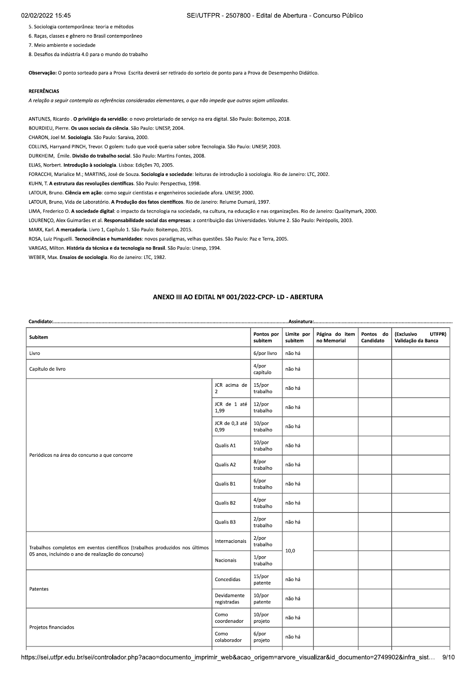SEI/UTFPR - 2507800 - Edital de Abertura - Concurso Público

- 5. Sociologia contemporânea: teoria e métodos
- 6. Raças, classes e gênero no Brasil contemporâneo
- 7. Meio ambiente e sociedade

8. Desafios da indústria 4.0 para o mundo do trabalho

Observação: O ponto sorteado para a Prova Escrita deverá ser retirado do sorteio de ponto para a Prova de Desempenho Didático.

## **REFERÊNCIAS**

A relação a seguir contempla as referências consideradas elementares, o que não impede que outras sejam utilizadas.

ANTUNES, Ricardo . O privilégio da servidão: o novo proletariado de serviço na era digital. São Paulo: Boitempo, 2018.

BOURDIEU, Pierre. Os usos sociais da ciência. São Paulo: UNESP, 2004.

CHARON, Joel M. Sociologia. São Paulo: Saraiva, 2000.

COLLINS, Harryand PINCH, Trevor. O golem: tudo que você queria saber sobre Tecnologia. São Paulo: UNESP, 2003.

DURKHEIM, Émile. Divisão do trabalho social. São Paulo: Martins Fontes, 2008.

ELIAS, Norbert. Introdução à sociologia. Lisboa: Edições 70, 2005.

FORACCHI, Marialice M.; MARTINS, José de Souza. Sociologia e sociedade: leituras de introdução à sociologia. Rio de Janeiro: LTC, 2002.

KUHN, T. A estrutura das revoluções científicas. São Paulo: Perspectiva, 1998.

LATOUR, Bruno. Ciência em ação: como seguir cientistas e engenheiros sociedade afora. UNESP, 2000.

LATOUR, Bruno, Vida de Laboratório. A Produção dos fatos científicos. Rio de Janeiro: Relume Dumará, 1997.

LIMA, Frederico O. A sociedade digital: o impacto da tecnologia na sociedade, na cultura, na educação e nas organizações. Rio de Janeiro: Qualitymark, 2000.

LOURENÇO, Alex Guimarães et al. Responsabilidade social das empresas: a contribuição das Universidades. Volume 2. São Paulo: Peirópolis, 2003.

MARX, Karl. A mercadoria. Livro 1, Capítulo 1. São Paulo: Boitempo, 2015.

ROSA, Luiz Pinguelli. Tecnociências e humanidades: novos paradigmas, velhas questões. São Paulo: Paz e Terra, 2005.

VARGAS, Milton. História da técnica e da tecnologia no Brasil. São Paulo: Unesp, 1994.

WEBER, Max. Ensaios de sociologia. Rio de Janeiro: LTC, 1982.

# ANEXO III AO EDITAL Nº 001/2022-CPCP- LD - ABERTURA

| Subitem                                                                      | Pontos por<br>subitem          | Limite por<br>subitem | Página do item<br>no Memorial | Pontos do<br>Candidato | (Exclusivo<br>UTFPR)<br>Validação da Banca |  |
|------------------------------------------------------------------------------|--------------------------------|-----------------------|-------------------------------|------------------------|--------------------------------------------|--|
| Livro                                                                        | 6/por livro                    | não há                |                               |                        |                                            |  |
| Capítulo de livro                                                            | $4$ /por<br>capítulo           | não há                |                               |                        |                                            |  |
|                                                                              | JCR acima de<br>$\overline{2}$ | 15/por<br>trabalho    | não há                        |                        |                                            |  |
|                                                                              | JCR de 1 até<br>1,99           | 12/por<br>trabalho    | não há                        |                        |                                            |  |
|                                                                              | JCR de 0,3 até<br>0,99         | $10$ /por<br>trabalho | não há                        |                        |                                            |  |
| Periódicos na área do concurso a que concorre                                | Qualis A1                      | $10$ /por<br>trabalho | não há                        |                        |                                            |  |
|                                                                              | Qualis A2                      | 8/por<br>trabalho     | não há                        |                        |                                            |  |
|                                                                              | Qualis B1                      | 6/por<br>trabalho     | não há                        |                        |                                            |  |
|                                                                              | Qualis B2                      | $4$ /por<br>trabalho  | não há                        |                        |                                            |  |
|                                                                              | Qualis B3                      | $2$ /por<br>trabalho  | não há                        |                        |                                            |  |
| Trabalhos completos em eventos científicos (trabalhos produzidos nos últimos | Internacionais                 | $2$ /por<br>trabalho  | 10,0                          |                        |                                            |  |
| 05 anos, incluindo o ano de realização do concurso)                          | Nacionais                      | 1/por<br>trabalho     |                               |                        |                                            |  |
| Patentes                                                                     | Concedidas                     | 15/por<br>patente     | não há                        |                        |                                            |  |
|                                                                              | Devidamente<br>registradas     | $10$ /por<br>patente  | não há                        |                        |                                            |  |
| Projetos financiados                                                         | Como<br>coordenador            | $10$ /por<br>projeto  | não há                        |                        |                                            |  |
|                                                                              | Como<br>colaborador            | 6/por<br>projeto      | não há                        |                        |                                            |  |

https://sei.utfpr.edu.br/sei/controlador.php?acao=documento\_imprimir\_web&acao\_origem=arvore\_visualizar&id\_documento=2749902&infra\_sist...  $9/10$